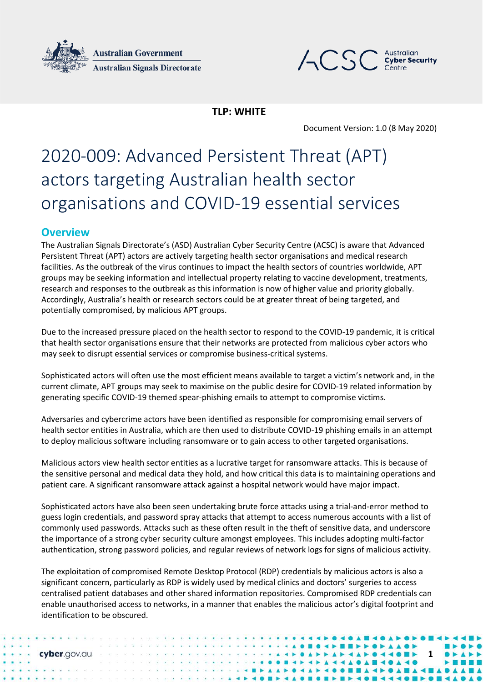



**TLP: WHITE**

Document Version: 1.0 (8 May 2020)

**1**

# 2020-009: Advanced Persistent Threat (APT) actors targeting Australian health sector organisations and COVID-19 essential services

## **Overview**

The Australian Signals Directorate's (ASD) Australian Cyber Security Centre (ACSC) is aware that Advanced Persistent Threat (APT) actors are actively targeting health sector organisations and medical research facilities. As the outbreak of the virus continues to impact the health sectors of countries worldwide, APT groups may be seeking information and intellectual property relating to vaccine development, treatments, research and responses to the outbreak as this information is now of higher value and priority globally. Accordingly, Australia's health or research sectors could be at greater threat of being targeted, and potentially compromised, by malicious APT groups.

Due to the increased pressure placed on the health sector to respond to the COVID-19 pandemic, it is critical that health sector organisations ensure that their networks are protected from malicious cyber actors who may seek to disrupt essential services or compromise business-critical systems.

Sophisticated actors will often use the most efficient means available to target a victim's network and, in the current climate, APT groups may seek to maximise on the public desire for COVID-19 related information by generating specific COVID-19 themed spear-phishing emails to attempt to compromise victims.

Adversaries and cybercrime actors have been identified as responsible for compromising email servers of health sector entities in Australia, which are then used to distribute COVID-19 phishing emails in an attempt to deploy malicious software including ransomware or to gain access to other targeted organisations.

Malicious actors view health sector entities as a lucrative target for ransomware attacks. This is because of the sensitive personal and medical data they hold, and how critical this data is to maintaining operations and patient care. A significant ransomware attack against a hospital network would have major impact.

Sophisticated actors have also been seen undertaking brute force attacks using a trial-and-error method to guess login credentials, and password spray attacks that attempt to access numerous accounts with a list of commonly used passwords. Attacks such as these often result in the theft of sensitive data, and underscore the importance of a strong cyber security culture amongst employees. This includes adopting multi-factor authentication, strong password policies, and regular reviews of network logs for signs of malicious activity.

The exploitation of compromised Remote Desktop Protocol (RDP) credentials by malicious actors is also a significant concern, particularly as RDP is widely used by medical clinics and doctors' surgeries to access centralised patient databases and other shared information repositories. Compromised RDP credentials can enable unauthorised access to networks, in a manner that enables the malicious actor's digital footprint and identification to be obscured.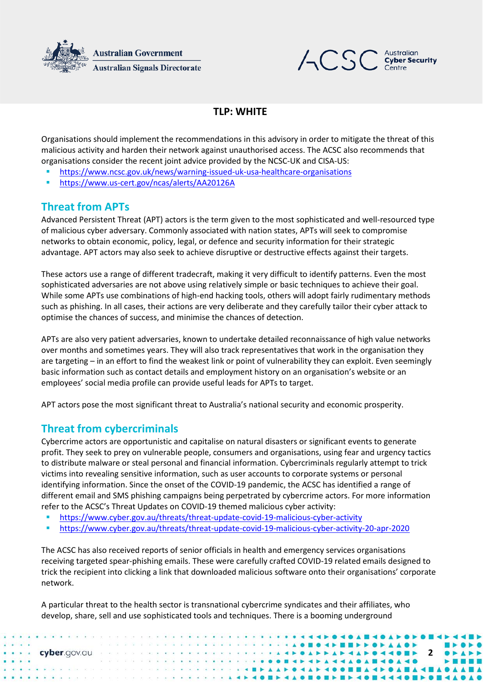



## **TLP: WHITE**

Organisations should implement the recommendations in this advisory in order to mitigate the threat of this malicious activity and harden their network against unauthorised access. The ACSC also recommends that organisations consider the recent joint advice provided by the NCSC-UK and CISA-US:

- <https://www.ncsc.gov.uk/news/warning-issued-uk-usa-healthcare-organisations>
- <https://www.us-cert.gov/ncas/alerts/AA20126A>

## **Threat from APTs**

Advanced Persistent Threat (APT) actors is the term given to the most sophisticated and well-resourced type of malicious cyber adversary. Commonly associated with nation states, APTs will seek to compromise networks to obtain economic, policy, legal, or defence and security information for their strategic advantage. APT actors may also seek to achieve disruptive or destructive effects against their targets.

These actors use a range of different tradecraft, making it very difficult to identify patterns. Even the most sophisticated adversaries are not above using relatively simple or basic techniques to achieve their goal. While some APTs use combinations of high-end hacking tools, others will adopt fairly rudimentary methods such as phishing. In all cases, their actions are very deliberate and they carefully tailor their cyber attack to optimise the chances of success, and minimise the chances of detection.

APTs are also very patient adversaries, known to undertake detailed reconnaissance of high value networks over months and sometimes years. They will also track representatives that work in the organisation they are targeting – in an effort to find the weakest link or point of vulnerability they can exploit. Even seemingly basic information such as contact details and employment history on an organisation's website or an employees' social media profile can provide useful leads for APTs to target.

APT actors pose the most significant threat to Australia's national security and economic prosperity.

## **Threat from cybercriminals**

Cybercrime actors are opportunistic and capitalise on natural disasters or significant events to generate profit. They seek to prey on vulnerable people, consumers and organisations, using fear and urgency tactics to distribute malware or steal personal and financial information. Cybercriminals regularly attempt to trick victims into revealing sensitive information, such as user accounts to corporate systems or personal identifying information. Since the onset of the COVID-19 pandemic, the ACSC has identified a range of different email and SMS phishing campaigns being perpetrated by cybercrime actors. For more information refer to the ACSC's Threat Updates on COVID-19 themed malicious cyber activity:

- <https://www.cyber.gov.au/threats/threat-update-covid-19-malicious-cyber-activity>
- <https://www.cyber.gov.au/threats/threat-update-covid-19-malicious-cyber-activity-20-apr-2020>

The ACSC has also received reports of senior officials in health and emergency services organisations receiving targeted spear-phishing emails. These were carefully crafted COVID-19 related emails designed to trick the recipient into clicking a link that downloaded malicious software onto their organisations' corporate network.

A particular threat to the health sector is transnational cybercrime syndicates and their affiliates, who develop, share, sell and use sophisticated tools and techniques. There is a booming underground

cyber.gov.au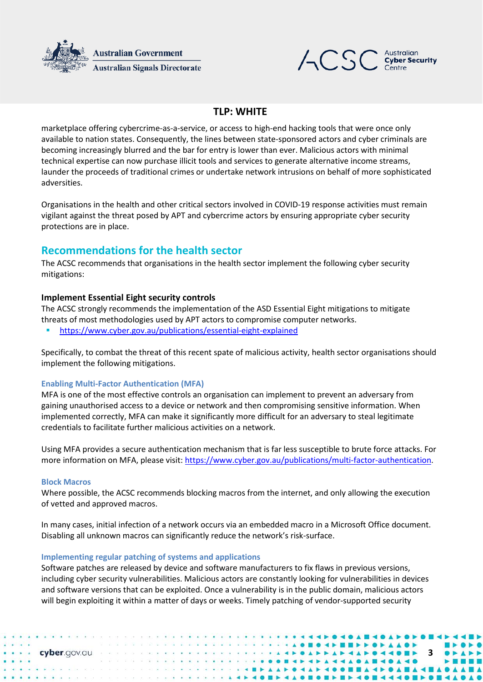



### **TLP: WHITE**

marketplace offering cybercrime-as-a-service, or access to high-end hacking tools that were once only available to nation states. Consequently, the lines between state-sponsored actors and cyber criminals are becoming increasingly blurred and the bar for entry is lower than ever. Malicious actors with minimal technical expertise can now purchase illicit tools and services to generate alternative income streams, launder the proceeds of traditional crimes or undertake network intrusions on behalf of more sophisticated adversities.

Organisations in the health and other critical sectors involved in COVID-19 response activities must remain vigilant against the threat posed by APT and cybercrime actors by ensuring appropriate cyber security protections are in place.

### **Recommendations for the health sector**

The ACSC recommends that organisations in the health sector implement the following cyber security mitigations:

#### **Implement Essential Eight security controls**

The ACSC strongly recommends the implementation of the ASD Essential Eight mitigations to mitigate threats of most methodologies used by APT actors to compromise computer networks.

<https://www.cyber.gov.au/publications/essential-eight-explained>

Specifically, to combat the threat of this recent spate of malicious activity, health sector organisations should implement the following mitigations.

#### **Enabling Multi-Factor Authentication (MFA)**

MFA is one of the most effective controls an organisation can implement to prevent an adversary from gaining unauthorised access to a device or network and then compromising sensitive information. When implemented correctly, MFA can make it significantly more difficult for an adversary to steal legitimate credentials to facilitate further malicious activities on a network.

Using MFA provides a secure authentication mechanism that is far less susceptible to brute force attacks. For more information on MFA, please visit: [https://www.cyber.gov.au/publications/multi-factor-authentication.](https://www.cyber.gov.au/publications/multi-factor-authentication)

#### **Block Macros**

Where possible, the ACSC recommends blocking macros from the internet, and only allowing the execution of vetted and approved macros.

In many cases, initial infection of a network occurs via an embedded macro in a Microsoft Office document. Disabling all unknown macros can significantly reduce the network's risk-surface.

#### **Implementing regular patching of systems and applications**

Software patches are released by device and software manufacturers to fix flaws in previous versions, including cyber security vulnerabilities. Malicious actors are constantly looking for vulnerabilities in devices and software versions that can be exploited. Once a vulnerability is in the public domain, malicious actors will begin exploiting it within a matter of days or weeks. Timely patching of vendor-supported security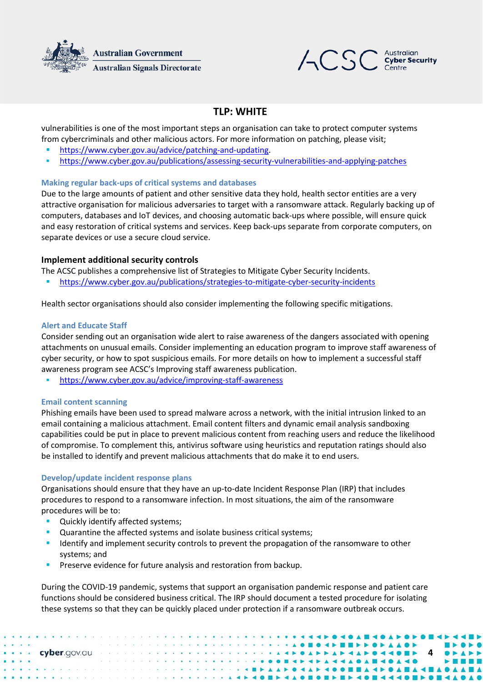



## **TLP: WHITE**

vulnerabilities is one of the most important steps an organisation can take to protect computer systems from cybercriminals and other malicious actors. For more information on patching, please visit;

- [https://www.cyber.gov.au/advice/patching-and-updating.](https://www.cyber.gov.au/advice/patching-and-updating)
- <https://www.cyber.gov.au/publications/assessing-security-vulnerabilities-and-applying-patches>

#### **Making regular back-ups of critical systems and databases**

Due to the large amounts of patient and other sensitive data they hold, health sector entities are a very attractive organisation for malicious adversaries to target with a ransomware attack. Regularly backing up of computers, databases and IoT devices, and choosing automatic back-ups where possible, will ensure quick and easy restoration of critical systems and services. Keep back-ups separate from corporate computers, on separate devices or use a secure cloud service.

#### **Implement additional security controls**

The ACSC publishes a comprehensive list of Strategies to Mitigate Cyber Security Incidents.

<https://www.cyber.gov.au/publications/strategies-to-mitigate-cyber-security-incidents>

Health sector organisations should also consider implementing the following specific mitigations.

#### **Alert and Educate Staff**

Consider sending out an organisation wide alert to raise awareness of the dangers associated with opening attachments on unusual emails. Consider implementing an education program to improve staff awareness of cyber security, or how to spot suspicious emails. For more details on how to implement a successful staff awareness program see ACSC's Improving staff awareness publication.

<https://www.cyber.gov.au/advice/improving-staff-awareness>

#### **Email content scanning**

Phishing emails have been used to spread malware across a network, with the initial intrusion linked to an email containing a malicious attachment. Email content filters and dynamic email analysis sandboxing capabilities could be put in place to prevent malicious content from reaching users and reduce the likelihood of compromise. To complement this, antivirus software using heuristics and reputation ratings should also be installed to identify and prevent malicious attachments that do make it to end users.

#### **Develop/update incident response plans**

Organisations should ensure that they have an up-to-date Incident Response Plan (IRP) that includes procedures to respond to a ransomware infection. In most situations, the aim of the ransomware procedures will be to:

- Quickly identify affected systems;
- Quarantine the affected systems and isolate business critical systems;
- Identify and implement security controls to prevent the propagation of the ransomware to other systems; and
- **Preserve evidence for future analysis and restoration from backup.**

During the COVID-19 pandemic, systems that support an organisation pandemic response and patient care functions should be considered business critical. The IRP should document a tested procedure for isolating these systems so that they can be quickly placed under protection if a ransomware outbreak occurs.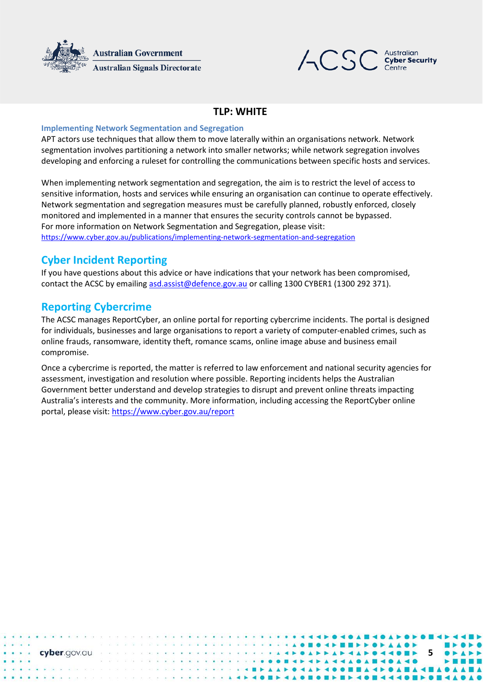



## **TLP: WHITE**

#### **Implementing Network Segmentation and Segregation**

APT actors use techniques that allow them to move laterally within an organisations network. Network segmentation involves partitioning a network into smaller networks; while network segregation involves developing and enforcing a ruleset for controlling the communications between specific hosts and services.

When implementing network segmentation and segregation, the aim is to restrict the level of access to sensitive information, hosts and services while ensuring an organisation can continue to operate effectively. Network segmentation and segregation measures must be carefully planned, robustly enforced, closely monitored and implemented in a manner that ensures the security controls cannot be bypassed. For more information on Network Segmentation and Segregation, please visit: <https://www.cyber.gov.au/publications/implementing-network-segmentation-and-segregation>

## **Cyber Incident Reporting**

If you have questions about this advice or have indications that your network has been compromised, contact the ACSC by emailing [asd.assist@defence.gov.au](mailto:asd.assist@defence.gov.au) or calling 1300 CYBER1 (1300 292 371).

## **Reporting Cybercrime**

cyber.gov.gu

The ACSC manages ReportCyber, an online portal for reporting cybercrime incidents. The portal is designed for individuals, businesses and large organisations to report a variety of computer-enabled crimes, such as online frauds, ransomware, identity theft, romance scams, online image abuse and business email compromise.

Once a cybercrime is reported, the matter is referred to law enforcement and national security agencies for assessment, investigation and resolution where possible. Reporting incidents helps the Australian Government better understand and develop strategies to disrupt and prevent online threats impacting Australia's interests and the community. More information, including accessing the ReportCyber online portal, please visit:<https://www.cyber.gov.au/report>